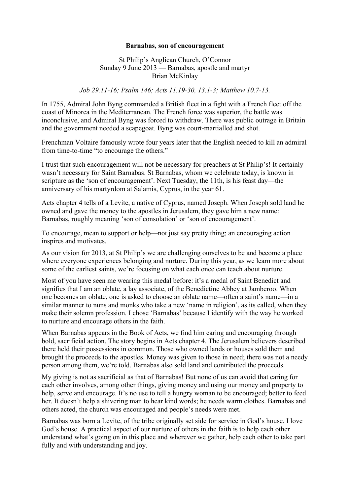## **Barnabas, son of encouragement**

## St Philip's Anglican Church, O'Connor Sunday 9 June 2013 — Barnabas, apostle and martyr Brian McKinlay

## *Job 29.11-16; Psalm 146; Acts 11.19-30, 13.1-3; Matthew 10.7-13.*

In 1755, Admiral John Byng commanded a British fleet in a fight with a French fleet off the coast of Minorca in the Mediterranean. The French force was superior, the battle was inconclusive, and Admiral Byng was forced to withdraw. There was public outrage in Britain and the government needed a scapegoat. Byng was court-martialled and shot.

Frenchman Voltaire famously wrote four years later that the English needed to kill an admiral from time-to-time "to encourage the others."

I trust that such encouragement will not be necessary for preachers at St Philip's! It certainly wasn't necessary for Saint Barnabas. St Barnabas, whom we celebrate today, is known in scripture as the 'son of encouragement'. Next Tuesday, the 11th, is his feast day—the anniversary of his martyrdom at Salamis, Cyprus, in the year 61.

Acts chapter 4 tells of a Levite, a native of Cyprus, named Joseph. When Joseph sold land he owned and gave the money to the apostles in Jerusalem, they gave him a new name: Barnabas, roughly meaning 'son of consolation' or 'son of encouragement'.

To encourage, mean to support or help—not just say pretty thing; an encouraging action inspires and motivates.

As our vision for 2013, at St Philip's we are challenging ourselves to be and become a place where everyone experiences belonging and nurture. During this year, as we learn more about some of the earliest saints, we're focusing on what each once can teach about nurture.

Most of you have seen me wearing this medal before: it's a medal of Saint Benedict and signifies that I am an oblate, a lay associate, of the Benedictine Abbey at Jamberoo. When one becomes an oblate, one is asked to choose an oblate name—often a saint's name—in a similar manner to nuns and monks who take a new 'name in religion', as its called, when they make their solemn profession. I chose 'Barnabas' because I identify with the way he worked to nurture and encourage others in the faith.

When Barnabas appears in the Book of Acts, we find him caring and encouraging through bold, sacrificial action. The story begins in Acts chapter 4. The Jerusalem believers described there held their possessions in common. Those who owned lands or houses sold them and brought the proceeds to the apostles. Money was given to those in need; there was not a needy person among them, we're told. Barnabas also sold land and contributed the proceeds.

My giving is not as sacrificial as that of Barnabas! But none of us can avoid that caring for each other involves, among other things, giving money and using our money and property to help, serve and encourage. It's no use to tell a hungry woman to be encouraged; better to feed her. It doesn't help a shivering man to hear kind words; he needs warm clothes. Barnabas and others acted, the church was encouraged and people's needs were met.

Barnabas was born a Levite, of the tribe originally set side for service in God's house. I love God's house. A practical aspect of our nurture of others in the faith is to help each other understand what's going on in this place and wherever we gather, help each other to take part fully and with understanding and joy.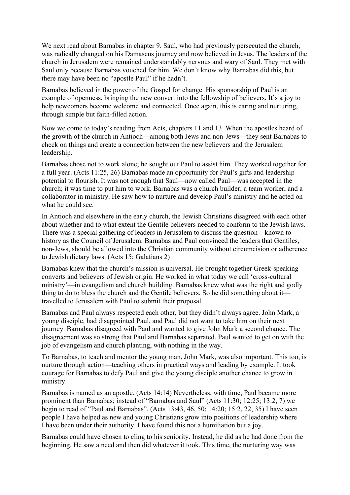We next read about Barnabas in chapter 9. Saul, who had previously persecuted the church, was radically changed on his Damascus journey and now believed in Jesus. The leaders of the church in Jerusalem were remained understandably nervous and wary of Saul. They met with Saul only because Barnabas vouched for him. We don't know why Barnabas did this, but there may have been no "apostle Paul" if he hadn't.

Barnabas believed in the power of the Gospel for change. His sponsorship of Paul is an example of openness, bringing the new convert into the fellowship of believers. It's a joy to help newcomers become welcome and connected. Once again, this is caring and nurturing, through simple but faith-filled action.

Now we come to today's reading from Acts, chapters 11 and 13. When the apostles heard of the growth of the church in Antioch—among both Jews and non-Jews—they sent Barnabas to check on things and create a connection between the new believers and the Jerusalem leadership.

Barnabas chose not to work alone; he sought out Paul to assist him. They worked together for a full year. (Acts 11:25, 26) Barnabas made an opportunity for Paul's gifts and leadership potential to flourish. It was not enough that Saul—now called Paul—was accepted in the church; it was time to put him to work. Barnabas was a church builder; a team worker, and a collaborator in ministry. He saw how to nurture and develop Paul's ministry and he acted on what he could see.

In Antioch and elsewhere in the early church, the Jewish Christians disagreed with each other about whether and to what extent the Gentile believers needed to conform to the Jewish laws. There was a special gathering of leaders in Jerusalem to discuss the question—known to history as the Council of Jerusalem. Barnabas and Paul convinced the leaders that Gentiles, non-Jews, should be allowed into the Christian community without circumcision or adherence to Jewish dietary laws. (Acts 15; Galatians 2)

Barnabas knew that the church's mission is universal. He brought together Greek-speaking converts and believers of Jewish origin. He worked in what today we call 'cross-cultural ministry'—in evangelism and church building. Barnabas knew what was the right and godly thing to do to bless the church and the Gentile believers. So he did something about it travelled to Jerusalem with Paul to submit their proposal.

Barnabas and Paul always respected each other, but they didn't always agree. John Mark, a young disciple, had disappointed Paul, and Paul did not want to take him on their next journey. Barnabas disagreed with Paul and wanted to give John Mark a second chance. The disagreement was so strong that Paul and Barnabas separated. Paul wanted to get on with the job of evangelism and church planting, with nothing in the way.

To Barnabas, to teach and mentor the young man, John Mark, was also important. This too, is nurture through action—teaching others in practical ways and leading by example. It took courage for Barnabas to defy Paul and give the young disciple another chance to grow in ministry.

Barnabas is named as an apostle. (Acts 14:14) Nevertheless, with time, Paul became more prominent than Barnabas; instead of "Barnabas and Saul" (Acts 11:30; 12:25; 13:2, 7) we begin to read of "Paul and Barnabas". (Acts 13:43, 46, 50; 14:20; 15:2, 22, 35) I have seen people I have helped as new and young Christians grow into positions of leadership where I have been under their authority. I have found this not a humiliation but a joy.

Barnabas could have chosen to cling to his seniority. Instead, he did as he had done from the beginning. He saw a need and then did whatever it took. This time, the nurturing way was